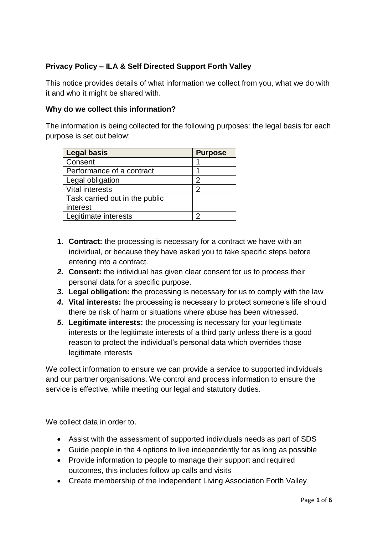# **Privacy Policy – ILA & Self Directed Support Forth Valley**

This notice provides details of what information we collect from you, what we do with it and who it might be shared with.

#### **Why do we collect this information?**

The information is being collected for the following purposes: the legal basis for each purpose is set out below:

| <b>Legal basis</b>             | <b>Purpose</b> |
|--------------------------------|----------------|
| Consent                        |                |
| Performance of a contract      |                |
| Legal obligation               | 2              |
| Vital interests                | 2              |
| Task carried out in the public |                |
| interest                       |                |
| Legitimate interests           | σ              |

- **1. Contract:** the processing is necessary for a contract we have with an individual, or because they have asked you to take specific steps before entering into a contract.
- *2.* **Consent:** the individual has given clear consent for us to process their personal data for a specific purpose.
- *3.* **Legal obligation:** the processing is necessary for us to comply with the law
- *4.* **Vital interests:** the processing is necessary to protect someone's life should there be risk of harm or situations where abuse has been witnessed.
- *5.* **Legitimate interests:** the processing is necessary for your legitimate interests or the legitimate interests of a third party unless there is a good reason to protect the individual's personal data which overrides those legitimate interests

We collect information to ensure we can provide a service to supported individuals and our partner organisations. We control and process information to ensure the service is effective, while meeting our legal and statutory duties.

We collect data in order to.

- Assist with the assessment of supported individuals needs as part of SDS
- Guide people in the 4 options to live independently for as long as possible
- Provide information to people to manage their support and required outcomes, this includes follow up calls and visits
- Create membership of the Independent Living Association Forth Valley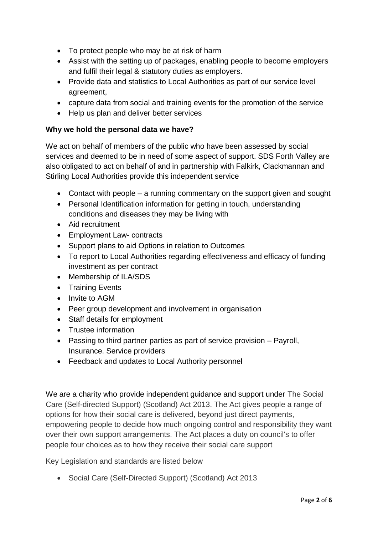- To protect people who may be at risk of harm
- Assist with the setting up of packages, enabling people to become employers and fulfil their legal & statutory duties as employers.
- Provide data and statistics to Local Authorities as part of our service level agreement,
- capture data from social and training events for the promotion of the service
- Help us plan and deliver better services

# **Why we hold the personal data we have?**

We act on behalf of members of the public who have been assessed by social services and deemed to be in need of some aspect of support. SDS Forth Valley are also obligated to act on behalf of and in partnership with Falkirk, Clackmannan and Stirling Local Authorities provide this independent service

- Contact with people a running commentary on the support given and sought
- Personal Identification information for getting in touch, understanding conditions and diseases they may be living with
- Aid recruitment
- Employment Law- contracts
- Support plans to aid Options in relation to Outcomes
- To report to Local Authorities regarding effectiveness and efficacy of funding investment as per contract
- Membership of ILA/SDS
- Training Events
- Invite to AGM
- Peer group development and involvement in organisation
- Staff details for employment
- Trustee information
- Passing to third partner parties as part of service provision Payroll, Insurance. Service providers
- Feedback and updates to Local Authority personnel

We are a charity who provide independent guidance and support under The Social Care (Self-directed Support) (Scotland) Act 2013. The Act gives people a range of options for how their social care is delivered, beyond just direct payments, empowering people to decide how much ongoing control and responsibility they want over their own support arrangements. The Act places a duty on council's to offer people four choices as to how they receive their social care support

Key Legislation and standards are listed below

Social Care (Self-Directed Support) (Scotland) Act 2013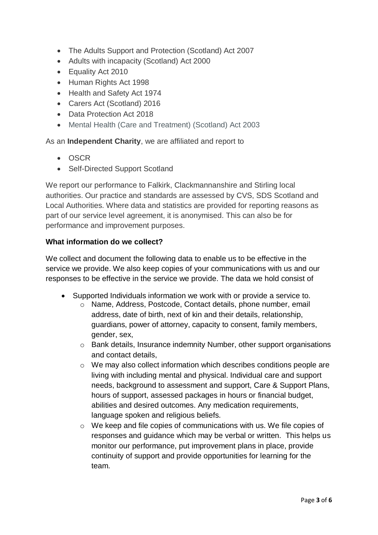- The Adults Support and Protection (Scotland) Act 2007
- Adults with incapacity (Scotland) Act 2000
- Equality Act 2010
- Human Rights Act 1998
- Health and Safety Act 1974
- Carers Act (Scotland) 2016
- Data Protection Act 2018
- Mental Health (Care and Treatment) (Scotland) Act 2003

As an **Independent Charity**, we are affiliated and report to

- OSCR
- Self-Directed Support Scotland

We report our performance to Falkirk, Clackmannanshire and Stirling local authorities. Our practice and standards are assessed by CVS, SDS Scotland and Local Authorities. Where data and statistics are provided for reporting reasons as part of our service level agreement, it is anonymised. This can also be for performance and improvement purposes.

#### **What information do we collect?**

We collect and document the following data to enable us to be effective in the service we provide. We also keep copies of your communications with us and our responses to be effective in the service we provide. The data we hold consist of

- Supported Individuals information we work with or provide a service to.
	- o Name, Address, Postcode, Contact details, phone number, email address, date of birth, next of kin and their details, relationship, guardians, power of attorney, capacity to consent, family members, gender, sex,
	- o Bank details, Insurance indemnity Number, other support organisations and contact details,
	- o We may also collect information which describes conditions people are living with including mental and physical. Individual care and support needs, background to assessment and support, Care & Support Plans, hours of support, assessed packages in hours or financial budget, abilities and desired outcomes. Any medication requirements, language spoken and religious beliefs.
	- $\circ$  We keep and file copies of communications with us. We file copies of responses and guidance which may be verbal or written. This helps us monitor our performance, put improvement plans in place, provide continuity of support and provide opportunities for learning for the team.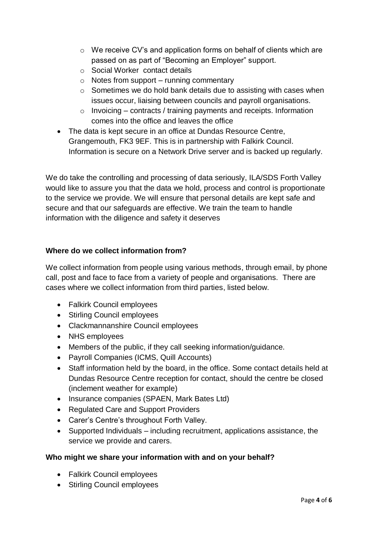- o We receive CV's and application forms on behalf of clients which are passed on as part of "Becoming an Employer" support.
- o Social Worker contact details
- $\circ$  Notes from support running commentary
- o Sometimes we do hold bank details due to assisting with cases when issues occur, liaising between councils and payroll organisations.
- $\circ$  Invoicing contracts / training payments and receipts. Information comes into the office and leaves the office
- The data is kept secure in an office at Dundas Resource Centre, Grangemouth, FK3 9EF. This is in partnership with Falkirk Council. Information is secure on a Network Drive server and is backed up regularly.

We do take the controlling and processing of data seriously, ILA/SDS Forth Valley would like to assure you that the data we hold, process and control is proportionate to the service we provide. We will ensure that personal details are kept safe and secure and that our safeguards are effective. We train the team to handle information with the diligence and safety it deserves

# **Where do we collect information from?**

We collect information from people using various methods, through email, by phone call, post and face to face from a variety of people and organisations. There are cases where we collect information from third parties, listed below.

- Falkirk Council employees
- Stirling Council employees
- Clackmannanshire Council employees
- NHS employees
- Members of the public, if they call seeking information/guidance.
- Payroll Companies (ICMS, Quill Accounts)
- Staff information held by the board, in the office. Some contact details held at Dundas Resource Centre reception for contact, should the centre be closed (inclement weather for example)
- Insurance companies (SPAEN, Mark Bates Ltd)
- Regulated Care and Support Providers
- Carer's Centre's throughout Forth Valley.
- Supported Individuals including recruitment, applications assistance, the service we provide and carers.

# **Who might we share your information with and on your behalf?**

- Falkirk Council employees
- Stirling Council employees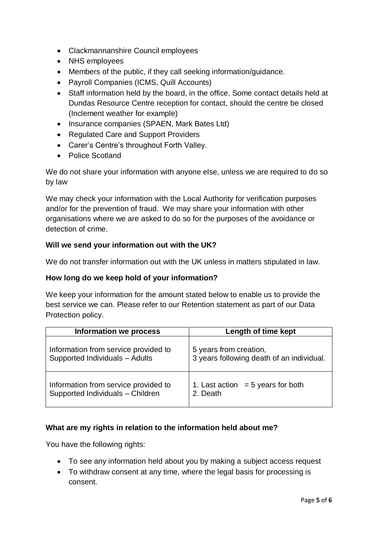- Clackmannanshire Council employees
- NHS employees
- Members of the public, if they call seeking information/guidance.
- Payroll Companies (ICMS, Quill Accounts)
- Staff information held by the board, in the office. Some contact details held at Dundas Resource Centre reception for contact, should the centre be closed (Inclement weather for example)
- Insurance companies (SPAEN, Mark Bates Ltd)
- Regulated Care and Support Providers
- Carer's Centre's throughout Forth Valley.
- Police Scotland

We do not share your information with anyone else, unless we are required to do so by law

We may check your information with the Local Authority for verification purposes and/or for the prevention of fraud. We may share your information with other organisations where we are asked to do so for the purposes of the avoidance or detection of crime.

# **Will we send your information out with the UK?**

We do not transfer information out with the UK unless in matters stipulated in law.

#### **How long do we keep hold of your information?**

We keep your information for the amount stated below to enable us to provide the best service we can. Please refer to our Retention statement as part of our Data Protection policy.

| <b>Information we process</b>        | Length of time kept                       |
|--------------------------------------|-------------------------------------------|
| Information from service provided to | 5 years from creation,                    |
| Supported Individuals - Adults       | 3 years following death of an individual. |
| Information from service provided to | 1. Last action $=$ 5 years for both       |
| Supported Individuals - Children     | 2. Death                                  |

# **What are my rights in relation to the information held about me?**

You have the following rights:

- To see any information held about you by making a subject access request
- To withdraw consent at any time, where the legal basis for processing is consent.